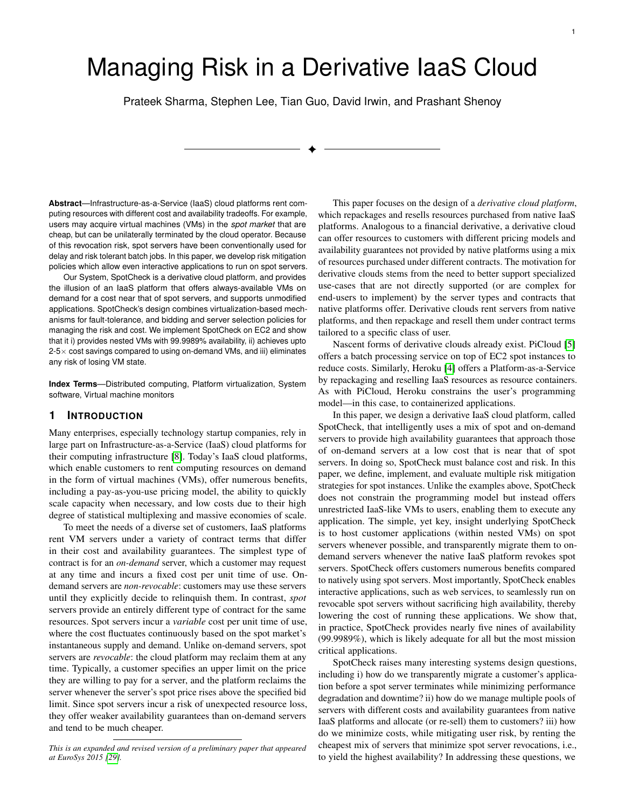# Managing Risk in a Derivative IaaS Cloud

Prateek Sharma, Stephen Lee, Tian Guo, David Irwin, and Prashant Shenoy

✦

**Abstract**—Infrastructure-as-a-Service (IaaS) cloud platforms rent computing resources with different cost and availability tradeoffs. For example, users may acquire virtual machines (VMs) in the *spot market* that are cheap, but can be unilaterally terminated by the cloud operator. Because of this revocation risk, spot servers have been conventionally used for delay and risk tolerant batch jobs. In this paper, we develop risk mitigation policies which allow even interactive applications to run on spot servers.

Our System, SpotCheck is a derivative cloud platform, and provides the illusion of an IaaS platform that offers always-available VMs on demand for a cost near that of spot servers, and supports unmodified applications. SpotCheck's design combines virtualization-based mechanisms for fault-tolerance, and bidding and server selection policies for managing the risk and cost. We implement SpotCheck on EC2 and show that it i) provides nested VMs with 99.9989% availability, ii) achieves upto  $2-5\times$  cost savings compared to using on-demand VMs, and iii) eliminates any risk of losing VM state.

**Index Terms**—Distributed computing, Platform virtualization, System software, Virtual machine monitors

# **1 INTRODUCTION**

Many enterprises, especially technology startup companies, rely in large part on Infrastructure-as-a-Service (IaaS) cloud platforms for their computing infrastructure [\[8\]](#page-13-0). Today's IaaS cloud platforms, which enable customers to rent computing resources on demand in the form of virtual machines (VMs), offer numerous benefits, including a pay-as-you-use pricing model, the ability to quickly scale capacity when necessary, and low costs due to their high degree of statistical multiplexing and massive economies of scale.

To meet the needs of a diverse set of customers, IaaS platforms rent VM servers under a variety of contract terms that differ in their cost and availability guarantees. The simplest type of contract is for an *on-demand* server, which a customer may request at any time and incurs a fixed cost per unit time of use. Ondemand servers are *non-revocable*: customers may use these servers until they explicitly decide to relinquish them. In contrast, *spot* servers provide an entirely different type of contract for the same resources. Spot servers incur a *variable* cost per unit time of use, where the cost fluctuates continuously based on the spot market's instantaneous supply and demand. Unlike on-demand servers, spot servers are *revocable*: the cloud platform may reclaim them at any time. Typically, a customer specifies an upper limit on the price they are willing to pay for a server, and the platform reclaims the server whenever the server's spot price rises above the specified bid limit. Since spot servers incur a risk of unexpected resource loss, they offer weaker availability guarantees than on-demand servers and tend to be much cheaper.

This paper focuses on the design of a *derivative cloud platform*, which repackages and resells resources purchased from native IaaS platforms. Analogous to a financial derivative, a derivative cloud can offer resources to customers with different pricing models and availability guarantees not provided by native platforms using a mix of resources purchased under different contracts. The motivation for derivative clouds stems from the need to better support specialized use-cases that are not directly supported (or are complex for end-users to implement) by the server types and contracts that native platforms offer. Derivative clouds rent servers from native platforms, and then repackage and resell them under contract terms tailored to a specific class of user.

Nascent forms of derivative clouds already exist. PiCloud [\[5\]](#page-12-0) offers a batch processing service on top of EC2 spot instances to reduce costs. Similarly, Heroku [\[4\]](#page-12-1) offers a Platform-as-a-Service by repackaging and reselling IaaS resources as resource containers. As with PiCloud, Heroku constrains the user's programming model—in this case, to containerized applications.

In this paper, we design a derivative IaaS cloud platform, called SpotCheck, that intelligently uses a mix of spot and on-demand servers to provide high availability guarantees that approach those of on-demand servers at a low cost that is near that of spot servers. In doing so, SpotCheck must balance cost and risk. In this paper, we define, implement, and evaluate multiple risk mitigation strategies for spot instances. Unlike the examples above, SpotCheck does not constrain the programming model but instead offers unrestricted IaaS-like VMs to users, enabling them to execute any application. The simple, yet key, insight underlying SpotCheck is to host customer applications (within nested VMs) on spot servers whenever possible, and transparently migrate them to ondemand servers whenever the native IaaS platform revokes spot servers. SpotCheck offers customers numerous benefits compared to natively using spot servers. Most importantly, SpotCheck enables interactive applications, such as web services, to seamlessly run on revocable spot servers without sacrificing high availability, thereby lowering the cost of running these applications. We show that, in practice, SpotCheck provides nearly five nines of availability (99.9989%), which is likely adequate for all but the most mission critical applications.

SpotCheck raises many interesting systems design questions, including i) how do we transparently migrate a customer's application before a spot server terminates while minimizing performance degradation and downtime? ii) how do we manage multiple pools of servers with different costs and availability guarantees from native IaaS platforms and allocate (or re-sell) them to customers? iii) how do we minimize costs, while mitigating user risk, by renting the cheapest mix of servers that minimize spot server revocations, i.e., to yield the highest availability? In addressing these questions, we

*This is an expanded and revised version of a preliminary paper that appeared at EuroSys 2015 [\[29\]](#page-13-1).*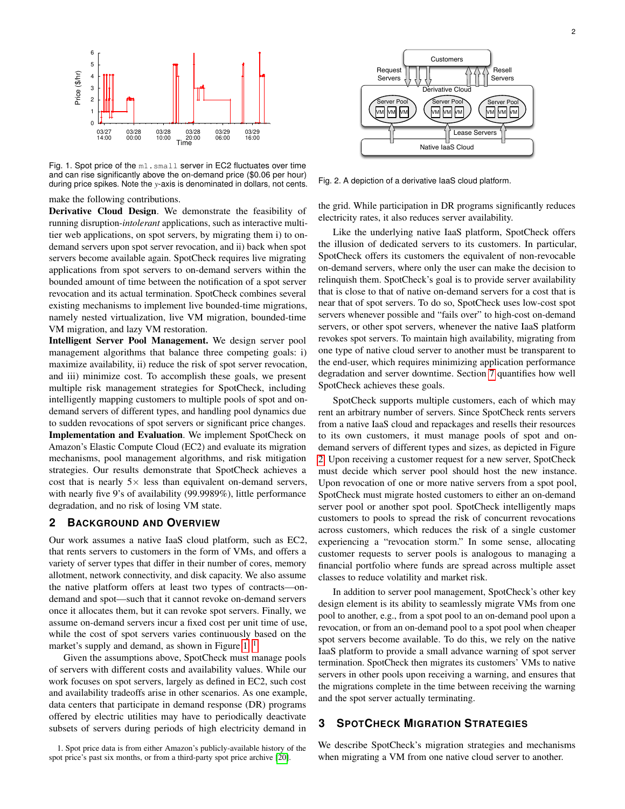

<span id="page-1-0"></span>Fig. 1. Spot price of the m1.small server in EC2 fluctuates over time and can rise significantly above the on-demand price (\$0.06 per hour) during price spikes. Note the *y*-axis is denominated in dollars, not cents.

#### make the following contributions.

Derivative Cloud Design. We demonstrate the feasibility of running disruption-*intolerant* applications, such as interactive multitier web applications, on spot servers, by migrating them i) to ondemand servers upon spot server revocation, and ii) back when spot servers become available again. SpotCheck requires live migrating applications from spot servers to on-demand servers within the bounded amount of time between the notification of a spot server revocation and its actual termination. SpotCheck combines several existing mechanisms to implement live bounded-time migrations, namely nested virtualization, live VM migration, bounded-time VM migration, and lazy VM restoration.

Intelligent Server Pool Management. We design server pool management algorithms that balance three competing goals: i) maximize availability, ii) reduce the risk of spot server revocation, and iii) minimize cost. To accomplish these goals, we present multiple risk management strategies for SpotCheck, including intelligently mapping customers to multiple pools of spot and ondemand servers of different types, and handling pool dynamics due to sudden revocations of spot servers or significant price changes. Implementation and Evaluation. We implement SpotCheck on Amazon's Elastic Compute Cloud (EC2) and evaluate its migration mechanisms, pool management algorithms, and risk mitigation strategies. Our results demonstrate that SpotCheck achieves a cost that is nearly  $5 \times$  less than equivalent on-demand servers, with nearly five 9's of availability (99.9989%), little performance degradation, and no risk of losing VM state.

#### **2 BACKGROUND AND OVERVIEW**

Our work assumes a native IaaS cloud platform, such as EC2, that rents servers to customers in the form of VMs, and offers a variety of server types that differ in their number of cores, memory allotment, network connectivity, and disk capacity. We also assume the native platform offers at least two types of contracts—ondemand and spot—such that it cannot revoke on-demand servers once it allocates them, but it can revoke spot servers. Finally, we assume on-demand servers incur a fixed cost per unit time of use, while the cost of spot servers varies continuously based on the market's supply and demand, as shown in Figure [1.](#page-1-0) $<sup>1</sup>$  $<sup>1</sup>$  $<sup>1</sup>$ </sup>

Given the assumptions above, SpotCheck must manage pools of servers with different costs and availability values. While our work focuses on spot servers, largely as defined in EC2, such cost and availability tradeoffs arise in other scenarios. As one example, data centers that participate in demand response (DR) programs offered by electric utilities may have to periodically deactivate subsets of servers during periods of high electricity demand in

<span id="page-1-1"></span>1. Spot price data is from either Amazon's publicly-available history of the spot price's past six months, or from a third-party spot price archive [\[20\]](#page-13-2).



<span id="page-1-2"></span>Fig. 2. A depiction of a derivative IaaS cloud platform.

the grid. While participation in DR programs significantly reduces electricity rates, it also reduces server availability.

Like the underlying native IaaS platform, SpotCheck offers the illusion of dedicated servers to its customers. In particular, SpotCheck offers its customers the equivalent of non-revocable on-demand servers, where only the user can make the decision to relinquish them. SpotCheck's goal is to provide server availability that is close to that of native on-demand servers for a cost that is near that of spot servers. To do so, SpotCheck uses low-cost spot servers whenever possible and "fails over" to high-cost on-demand servers, or other spot servers, whenever the native IaaS platform revokes spot servers. To maintain high availability, migrating from one type of native cloud server to another must be transparent to the end-user, which requires minimizing application performance degradation and server downtime. Section [7](#page-8-0) quantifies how well SpotCheck achieves these goals.

SpotCheck supports multiple customers, each of which may rent an arbitrary number of servers. Since SpotCheck rents servers from a native IaaS cloud and repackages and resells their resources to its own customers, it must manage pools of spot and ondemand servers of different types and sizes, as depicted in Figure [2.](#page-1-2) Upon receiving a customer request for a new server, SpotCheck must decide which server pool should host the new instance. Upon revocation of one or more native servers from a spot pool, SpotCheck must migrate hosted customers to either an on-demand server pool or another spot pool. SpotCheck intelligently maps customers to pools to spread the risk of concurrent revocations across customers, which reduces the risk of a single customer experiencing a "revocation storm." In some sense, allocating customer requests to server pools is analogous to managing a financial portfolio where funds are spread across multiple asset classes to reduce volatility and market risk.

In addition to server pool management, SpotCheck's other key design element is its ability to seamlessly migrate VMs from one pool to another, e.g., from a spot pool to an on-demand pool upon a revocation, or from an on-demand pool to a spot pool when cheaper spot servers become available. To do this, we rely on the native IaaS platform to provide a small advance warning of spot server termination. SpotCheck then migrates its customers' VMs to native servers in other pools upon receiving a warning, and ensures that the migrations complete in the time between receiving the warning and the spot server actually terminating.

# **3 SPOTCHECK MIGRATION STRATEGIES**

We describe SpotCheck's migration strategies and mechanisms when migrating a VM from one native cloud server to another.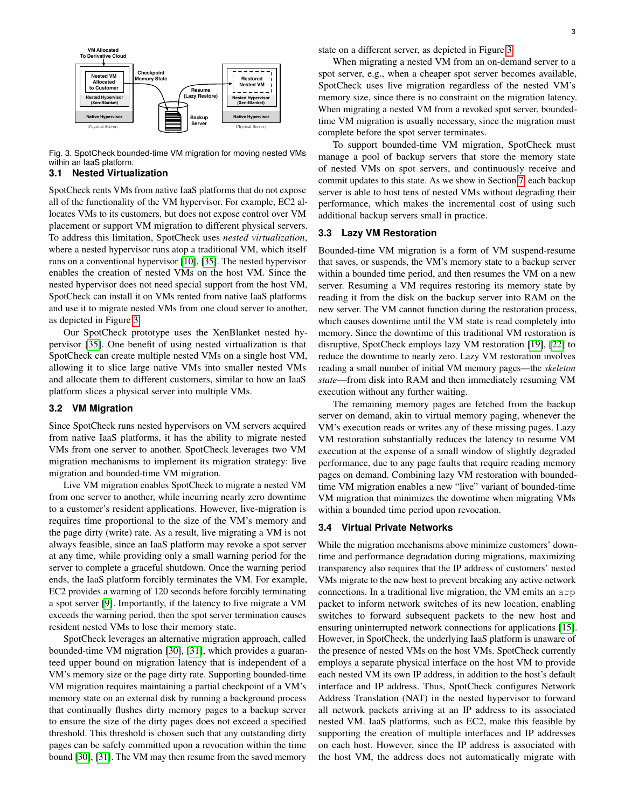

<span id="page-2-0"></span>Fig. 3. SpotCheck bounded-time VM migration for moving nested VMs within an IaaS platform.

## **3.1 Nested Virtualization**

SpotCheck rents VMs from native IaaS platforms that do not expose all of the functionality of the VM hypervisor. For example, EC2 allocates VMs to its customers, but does not expose control over VM placement or support VM migration to different physical servers. To address this limitation, SpotCheck uses *nested virtualization*, where a nested hypervisor runs atop a traditional VM, which itself runs on a conventional hypervisor [\[10\]](#page-13-3), [\[35\]](#page-13-4). The nested hypervisor enables the creation of nested VMs on the host VM. Since the nested hypervisor does not need special support from the host VM, SpotCheck can install it on VMs rented from native IaaS platforms and use it to migrate nested VMs from one cloud server to another, as depicted in Figure [3.](#page-2-0)

Our SpotCheck prototype uses the XenBlanket nested hypervisor [\[35\]](#page-13-4). One benefit of using nested virtualization is that SpotCheck can create multiple nested VMs on a single host VM, allowing it to slice large native VMs into smaller nested VMs and allocate them to different customers, similar to how an IaaS platform slices a physical server into multiple VMs.

#### **3.2 VM Migration**

Since SpotCheck runs nested hypervisors on VM servers acquired from native IaaS platforms, it has the ability to migrate nested VMs from one server to another. SpotCheck leverages two VM migration mechanisms to implement its migration strategy: live migration and bounded-time VM migration.

Live VM migration enables SpotCheck to migrate a nested VM from one server to another, while incurring nearly zero downtime to a customer's resident applications. However, live-migration is requires time proportional to the size of the VM's memory and the page dirty (write) rate. As a result, live migrating a VM is not always feasible, since an IaaS platform may revoke a spot server at any time, while providing only a small warning period for the server to complete a graceful shutdown. Once the warning period ends, the IaaS platform forcibly terminates the VM. For example, EC2 provides a warning of 120 seconds before forcibly terminating a spot server [\[9\]](#page-13-5). Importantly, if the latency to live migrate a VM exceeds the warning period, then the spot server termination causes resident nested VMs to lose their memory state.

SpotCheck leverages an alternative migration approach, called bounded-time VM migration [\[30\]](#page-13-6), [\[31\]](#page-13-7), which provides a guaranteed upper bound on migration latency that is independent of a VM's memory size or the page dirty rate. Supporting bounded-time VM migration requires maintaining a partial checkpoint of a VM's memory state on an external disk by running a background process that continually flushes dirty memory pages to a backup server to ensure the size of the dirty pages does not exceed a specified threshold. This threshold is chosen such that any outstanding dirty pages can be safely committed upon a revocation within the time bound [\[30\]](#page-13-6), [\[31\]](#page-13-7). The VM may then resume from the saved memory

state on a different server, as depicted in Figure [3.](#page-2-0)

When migrating a nested VM from an on-demand server to a spot server, e.g., when a cheaper spot server becomes available, SpotCheck uses live migration regardless of the nested VM's memory size, since there is no constraint on the migration latency. When migrating a nested VM from a revoked spot server, boundedtime VM migration is usually necessary, since the migration must complete before the spot server terminates.

To support bounded-time VM migration, SpotCheck must manage a pool of backup servers that store the memory state of nested VMs on spot servers, and continuously receive and commit updates to this state. As we show in Section [7,](#page-8-0) each backup server is able to host tens of nested VMs without degrading their performance, which makes the incremental cost of using such additional backup servers small in practice.

#### **3.3 Lazy VM Restoration**

Bounded-time VM migration is a form of VM suspend-resume that saves, or suspends, the VM's memory state to a backup server within a bounded time period, and then resumes the VM on a new server. Resuming a VM requires restoring its memory state by reading it from the disk on the backup server into RAM on the new server. The VM cannot function during the restoration process, which causes downtime until the VM state is read completely into memory. Since the downtime of this traditional VM restoration is disruptive, SpotCheck employs lazy VM restoration [\[19\]](#page-13-8), [\[22\]](#page-13-9) to reduce the downtime to nearly zero. Lazy VM restoration involves reading a small number of initial VM memory pages—the *skeleton state*—from disk into RAM and then immediately resuming VM execution without any further waiting.

The remaining memory pages are fetched from the backup server on demand, akin to virtual memory paging, whenever the VM's execution reads or writes any of these missing pages. Lazy VM restoration substantially reduces the latency to resume VM execution at the expense of a small window of slightly degraded performance, due to any page faults that require reading memory pages on demand. Combining lazy VM restoration with boundedtime VM migration enables a new "live" variant of bounded-time VM migration that minimizes the downtime when migrating VMs within a bounded time period upon revocation.

## **3.4 Virtual Private Networks**

While the migration mechanisms above minimize customers' downtime and performance degradation during migrations, maximizing transparency also requires that the IP address of customers' nested VMs migrate to the new host to prevent breaking any active network connections. In a traditional live migration, the VM emits an arp packet to inform network switches of its new location, enabling switches to forward subsequent packets to the new host and ensuring uninterrupted network connections for applications [\[15\]](#page-13-10). However, in SpotCheck, the underlying IaaS platform is unaware of the presence of nested VMs on the host VMs. SpotCheck currently employs a separate physical interface on the host VM to provide each nested VM its own IP address, in addition to the host's default interface and IP address. Thus, SpotCheck configures Network Address Translation (NAT) in the nested hypervisor to forward all network packets arriving at an IP address to its associated nested VM. IaaS platforms, such as EC2, make this feasible by supporting the creation of multiple interfaces and IP addresses on each host. However, since the IP address is associated with the host VM, the address does not automatically migrate with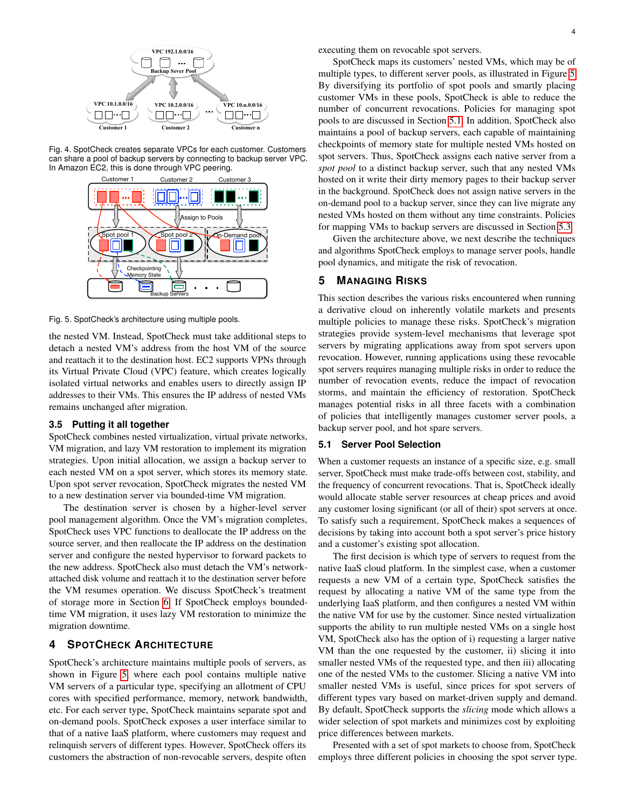

Fig. 4. SpotCheck creates separate VPCs for each customer. Customers can share a pool of backup servers by connecting to backup server VPC. In Amazon EC2, this is done through VPC peering.



<span id="page-3-0"></span>Fig. 5. SpotCheck's architecture using multiple pools.

the nested VM. Instead, SpotCheck must take additional steps to detach a nested VM's address from the host VM of the source and reattach it to the destination host. EC2 supports VPNs through its Virtual Private Cloud (VPC) feature, which creates logically isolated virtual networks and enables users to directly assign IP addresses to their VMs. This ensures the IP address of nested VMs remains unchanged after migration.

## **3.5 Putting it all together**

SpotCheck combines nested virtualization, virtual private networks, VM migration, and lazy VM restoration to implement its migration strategies. Upon initial allocation, we assign a backup server to each nested VM on a spot server, which stores its memory state. Upon spot server revocation, SpotCheck migrates the nested VM to a new destination server via bounded-time VM migration.

The destination server is chosen by a higher-level server pool management algorithm. Once the VM's migration completes, SpotCheck uses VPC functions to deallocate the IP address on the source server, and then reallocate the IP address on the destination server and configure the nested hypervisor to forward packets to the new address. SpotCheck also must detach the VM's networkattached disk volume and reattach it to the destination server before the VM resumes operation. We discuss SpotCheck's treatment of storage more in Section [6.](#page-7-0) If SpotCheck employs boundedtime VM migration, it uses lazy VM restoration to minimize the migration downtime.

# **4 SPOTCHECK ARCHITECTURE**

SpotCheck's architecture maintains multiple pools of servers, as shown in Figure [5,](#page-3-0) where each pool contains multiple native VM servers of a particular type, specifying an allotment of CPU cores with specified performance, memory, network bandwidth, etc. For each server type, SpotCheck maintains separate spot and on-demand pools. SpotCheck exposes a user interface similar to that of a native IaaS platform, where customers may request and relinquish servers of different types. However, SpotCheck offers its customers the abstraction of non-revocable servers, despite often

executing them on revocable spot servers.

SpotCheck maps its customers' nested VMs, which may be of multiple types, to different server pools, as illustrated in Figure [5.](#page-3-0) By diversifying its portfolio of spot pools and smartly placing customer VMs in these pools, SpotCheck is able to reduce the number of concurrent revocations. Policies for managing spot pools to are discussed in Section [5.1.](#page-3-1) In addition, SpotCheck also maintains a pool of backup servers, each capable of maintaining checkpoints of memory state for multiple nested VMs hosted on spot servers. Thus, SpotCheck assigns each native server from a *spot pool* to a distinct backup server, such that any nested VMs hosted on it write their dirty memory pages to their backup server in the background. SpotCheck does not assign native servers in the on-demand pool to a backup server, since they can live migrate any nested VMs hosted on them without any time constraints. Policies for mapping VMs to backup servers are discussed in Section [5.3.](#page-5-0)

Given the architecture above, we next describe the techniques and algorithms SpotCheck employs to manage server pools, handle pool dynamics, and mitigate the risk of revocation.

# **5 MANAGING RISKS**

This section describes the various risks encountered when running a derivative cloud on inherently volatile markets and presents multiple policies to manage these risks. SpotCheck's migration strategies provide system-level mechanisms that leverage spot servers by migrating applications away from spot servers upon revocation. However, running applications using these revocable spot servers requires managing multiple risks in order to reduce the number of revocation events, reduce the impact of revocation storms, and maintain the efficiency of restoration. SpotCheck manages potential risks in all three facets with a combination of policies that intelligently manages customer server pools, a backup server pool, and hot spare servers.

#### <span id="page-3-1"></span>**5.1 Server Pool Selection**

When a customer requests an instance of a specific size, e.g. small server, SpotCheck must make trade-offs between cost, stability, and the frequency of concurrent revocations. That is, SpotCheck ideally would allocate stable server resources at cheap prices and avoid any customer losing significant (or all of their) spot servers at once. To satisfy such a requirement, SpotCheck makes a sequences of decisions by taking into account both a spot server's price history and a customer's existing spot allocation.

The first decision is which type of servers to request from the native IaaS cloud platform. In the simplest case, when a customer requests a new VM of a certain type, SpotCheck satisfies the request by allocating a native VM of the same type from the underlying IaaS platform, and then configures a nested VM within the native VM for use by the customer. Since nested virtualization supports the ability to run multiple nested VMs on a single host VM, SpotCheck also has the option of i) requesting a larger native VM than the one requested by the customer, ii) slicing it into smaller nested VMs of the requested type, and then iii) allocating one of the nested VMs to the customer. Slicing a native VM into smaller nested VMs is useful, since prices for spot servers of different types vary based on market-driven supply and demand. By default, SpotCheck supports the *slicing* mode which allows a wider selection of spot markets and minimizes cost by exploiting price differences between markets.

Presented with a set of spot markets to choose from, SpotCheck employs three different policies in choosing the spot server type.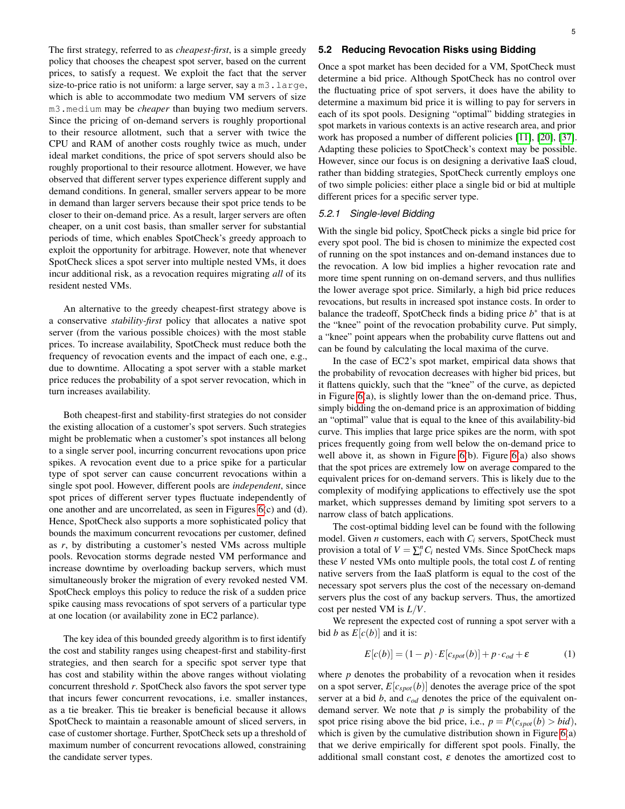The first strategy, referred to as *cheapest-first*, is a simple greedy policy that chooses the cheapest spot server, based on the current prices, to satisfy a request. We exploit the fact that the server size-to-price ratio is not uniform: a large server, say a m3. large, which is able to accommodate two medium VM servers of size m3.medium may be *cheaper* than buying two medium servers. Since the pricing of on-demand servers is roughly proportional to their resource allotment, such that a server with twice the CPU and RAM of another costs roughly twice as much, under ideal market conditions, the price of spot servers should also be roughly proportional to their resource allotment. However, we have observed that different server types experience different supply and demand conditions. In general, smaller servers appear to be more in demand than larger servers because their spot price tends to be closer to their on-demand price. As a result, larger servers are often cheaper, on a unit cost basis, than smaller server for substantial periods of time, which enables SpotCheck's greedy approach to exploit the opportunity for arbitrage. However, note that whenever SpotCheck slices a spot server into multiple nested VMs, it does incur additional risk, as a revocation requires migrating *all* of its resident nested VMs.

An alternative to the greedy cheapest-first strategy above is a conservative *stability-first* policy that allocates a native spot server (from the various possible choices) with the most stable prices. To increase availability, SpotCheck must reduce both the frequency of revocation events and the impact of each one, e.g., due to downtime. Allocating a spot server with a stable market price reduces the probability of a spot server revocation, which in turn increases availability.

Both cheapest-first and stability-first strategies do not consider the existing allocation of a customer's spot servers. Such strategies might be problematic when a customer's spot instances all belong to a single server pool, incurring concurrent revocations upon price spikes. A revocation event due to a price spike for a particular type of spot server can cause concurrent revocations within a single spot pool. However, different pools are *independent*, since spot prices of different server types fluctuate independently of one another and are uncorrelated, as seen in Figures [6\(](#page-5-1)c) and (d). Hence, SpotCheck also supports a more sophisticated policy that bounds the maximum concurrent revocations per customer, defined as *r*, by distributing a customer's nested VMs across multiple pools. Revocation storms degrade nested VM performance and increase downtime by overloading backup servers, which must simultaneously broker the migration of every revoked nested VM. SpotCheck employs this policy to reduce the risk of a sudden price spike causing mass revocations of spot servers of a particular type at one location (or availability zone in EC2 parlance).

The key idea of this bounded greedy algorithm is to first identify the cost and stability ranges using cheapest-first and stability-first strategies, and then search for a specific spot server type that has cost and stability within the above ranges without violating concurrent threshold *r*. SpotCheck also favors the spot server type that incurs fewer concurrent revocations, i.e. smaller instances, as a tie breaker. This tie breaker is beneficial because it allows SpotCheck to maintain a reasonable amount of sliced servers, in case of customer shortage. Further, SpotCheck sets up a threshold of maximum number of concurrent revocations allowed, constraining the candidate server types.

#### **5.2 Reducing Revocation Risks using Bidding**

Once a spot market has been decided for a VM, SpotCheck must determine a bid price. Although SpotCheck has no control over the fluctuating price of spot servers, it does have the ability to determine a maximum bid price it is willing to pay for servers in each of its spot pools. Designing "optimal" bidding strategies in spot markets in various contexts is an active research area, and prior work has proposed a number of different policies [\[11\]](#page-13-11), [\[20\]](#page-13-2), [\[37\]](#page-13-12). Adapting these policies to SpotCheck's context may be possible. However, since our focus is on designing a derivative IaaS cloud, rather than bidding strategies, SpotCheck currently employs one of two simple policies: either place a single bid or bid at multiple different prices for a specific server type.

## *5.2.1 Single-level Bidding*

With the single bid policy, SpotCheck picks a single bid price for every spot pool. The bid is chosen to minimize the expected cost of running on the spot instances and on-demand instances due to the revocation. A low bid implies a higher revocation rate and more time spent running on on-demand servers, and thus nullifies the lower average spot price. Similarly, a high bid price reduces revocations, but results in increased spot instance costs. In order to balance the tradeoff, SpotCheck finds a biding price  $b^*$  that is at the "knee" point of the revocation probability curve. Put simply, a "knee" point appears when the probability curve flattens out and can be found by calculating the local maxima of the curve.

In the case of EC2's spot market, empirical data shows that the probability of revocation decreases with higher bid prices, but it flattens quickly, such that the "knee" of the curve, as depicted in Figure [6\(](#page-5-1)a), is slightly lower than the on-demand price. Thus, simply bidding the on-demand price is an approximation of bidding an "optimal" value that is equal to the knee of this availability-bid curve. This implies that large price spikes are the norm, with spot prices frequently going from well below the on-demand price to well above it, as shown in Figure [6\(](#page-5-1)b). Figure 6(a) also shows that the spot prices are extremely low on average compared to the equivalent prices for on-demand servers. This is likely due to the complexity of modifying applications to effectively use the spot market, which suppresses demand by limiting spot servers to a narrow class of batch applications.

The cost-optimal bidding level can be found with the following model. Given *n* customers, each with *C<sup>i</sup>* servers, SpotCheck must provision a total of  $V = \sum_{i}^{n} C_i$  nested VMs. Since SpotCheck maps these *V* nested VMs onto multiple pools, the total cost *L* of renting native servers from the IaaS platform is equal to the cost of the necessary spot servers plus the cost of the necessary on-demand servers plus the cost of any backup servers. Thus, the amortized cost per nested VM is *L*/*V*.

We represent the expected cost of running a spot server with a bid *b* as  $E[c(b)]$  and it is:

<span id="page-4-0"></span>
$$
E[c(b)] = (1-p) \cdot E[c_{spot}(b)] + p \cdot c_{od} + \varepsilon \tag{1}
$$

where  $p$  denotes the probability of a revocation when it resides on a spot server,  $E[c_{spot}(b)]$  denotes the average price of the spot server at a bid *b*, and *cod* denotes the price of the equivalent ondemand server. We note that  $p$  is simply the probability of the spot price rising above the bid price, i.e.,  $p = P(c_{spot}(b) > bid)$ , which is given by the cumulative distribution shown in Figure [6\(](#page-5-1)a) that we derive empirically for different spot pools. Finally, the additional small constant cost,  $\varepsilon$  denotes the amortized cost to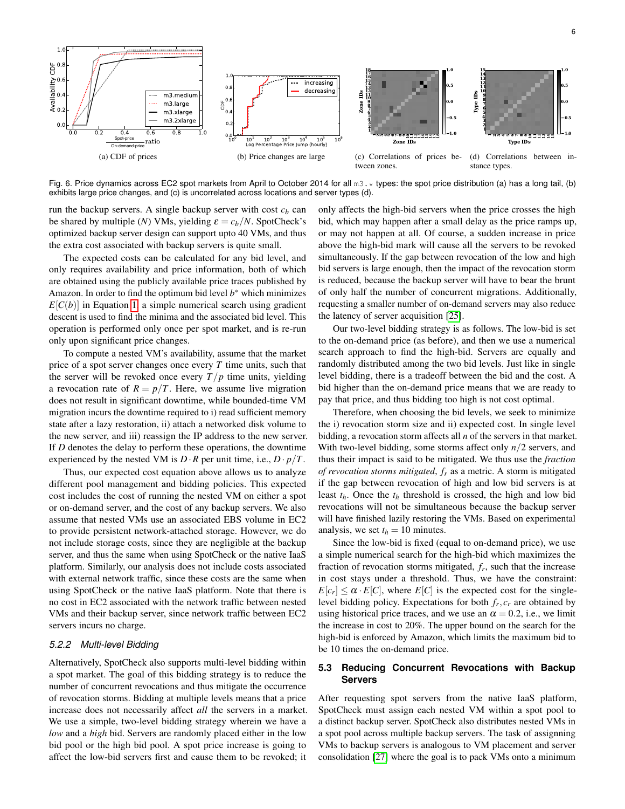

<span id="page-5-1"></span>Fig. 6. Price dynamics across EC2 spot markets from April to October 2014 for all  $m3.$  types: the spot price distribution (a) has a long tail, (b) exhibits large price changes, and (c) is uncorrelated across locations and server types (d).

run the backup servers. A single backup server with cost  $c<sub>b</sub>$  can be shared by multiple (*N*) VMs, yielding  $\varepsilon = c_b/N$ . SpotCheck's optimized backup server design can support upto 40 VMs, and thus the extra cost associated with backup servers is quite small.

The expected costs can be calculated for any bid level, and only requires availability and price information, both of which are obtained using the publicly available price traces published by Amazon. In order to find the optimum bid level *b* <sup>∗</sup> which minimizes  $E[C(b)]$  in Equation [1,](#page-4-0) a simple numerical search using gradient descent is used to find the minima and the associated bid level. This operation is performed only once per spot market, and is re-run only upon significant price changes.

To compute a nested VM's availability, assume that the market price of a spot server changes once every *T* time units, such that the server will be revoked once every  $T/p$  time units, yielding a revocation rate of  $R = p/T$ . Here, we assume live migration does not result in significant downtime, while bounded-time VM migration incurs the downtime required to i) read sufficient memory state after a lazy restoration, ii) attach a networked disk volume to the new server, and iii) reassign the IP address to the new server. If *D* denotes the delay to perform these operations, the downtime experienced by the nested VM is  $D \cdot R$  per unit time, i.e.,  $D \cdot p / T$ .

Thus, our expected cost equation above allows us to analyze different pool management and bidding policies. This expected cost includes the cost of running the nested VM on either a spot or on-demand server, and the cost of any backup servers. We also assume that nested VMs use an associated EBS volume in EC2 to provide persistent network-attached storage. However, we do not include storage costs, since they are negligible at the backup server, and thus the same when using SpotCheck or the native IaaS platform. Similarly, our analysis does not include costs associated with external network traffic, since these costs are the same when using SpotCheck or the native IaaS platform. Note that there is no cost in EC2 associated with the network traffic between nested VMs and their backup server, since network traffic between EC2 servers incurs no charge.

#### *5.2.2 Multi-level Bidding*

Alternatively, SpotCheck also supports multi-level bidding within a spot market. The goal of this bidding strategy is to reduce the number of concurrent revocations and thus mitigate the occurrence of revocation storms. Bidding at multiple levels means that a price increase does not necessarily affect *all* the servers in a market. We use a simple, two-level bidding strategy wherein we have a *low* and a *high* bid. Servers are randomly placed either in the low bid pool or the high bid pool. A spot price increase is going to affect the low-bid servers first and cause them to be revoked; it

only affects the high-bid servers when the price crosses the high bid, which may happen after a small delay as the price ramps up, or may not happen at all. Of course, a sudden increase in price above the high-bid mark will cause all the servers to be revoked simultaneously. If the gap between revocation of the low and high bid servers is large enough, then the impact of the revocation storm is reduced, because the backup server will have to bear the brunt of only half the number of concurrent migrations. Additionally, requesting a smaller number of on-demand servers may also reduce the latency of server acquisition [\[25\]](#page-13-13).

Our two-level bidding strategy is as follows. The low-bid is set to the on-demand price (as before), and then we use a numerical search approach to find the high-bid. Servers are equally and randomly distributed among the two bid levels. Just like in single level bidding, there is a tradeoff between the bid and the cost. A bid higher than the on-demand price means that we are ready to pay that price, and thus bidding too high is not cost optimal.

Therefore, when choosing the bid levels, we seek to minimize the i) revocation storm size and ii) expected cost. In single level bidding, a revocation storm affects all *n* of the servers in that market. With two-level bidding, some storms affect only *n*/2 servers, and thus their impact is said to be mitigated. We thus use the *fraction of revocation storms mitigated*, *f<sup>r</sup>* as a metric. A storm is mitigated if the gap between revocation of high and low bid servers is at least  $t_h$ . Once the  $t_h$  threshold is crossed, the high and low bid revocations will not be simultaneous because the backup server will have finished lazily restoring the VMs. Based on experimental analysis, we set  $t_h = 10$  minutes.

Since the low-bid is fixed (equal to on-demand price), we use a simple numerical search for the high-bid which maximizes the fraction of revocation storms mitigated, *f<sup>r</sup>* , such that the increase in cost stays under a threshold. Thus, we have the constraint:  $E[c_r] \le \alpha \cdot E[C]$ , where  $E[C]$  is the expected cost for the singlelevel bidding policy. Expectations for both *f<sup>r</sup>* , *c<sup>r</sup>* are obtained by using historical price traces, and we use an  $\alpha = 0.2$ , i.e., we limit the increase in cost to 20%. The upper bound on the search for the high-bid is enforced by Amazon, which limits the maximum bid to be 10 times the on-demand price.

# <span id="page-5-0"></span>**5.3 Reducing Concurrent Revocations with Backup Servers**

After requesting spot servers from the native IaaS platform, SpotCheck must assign each nested VM within a spot pool to a distinct backup server. SpotCheck also distributes nested VMs in a spot pool across multiple backup servers. The task of assignning VMs to backup servers is analogous to VM placement and server consolidation [\[27\]](#page-13-14) where the goal is to pack VMs onto a minimum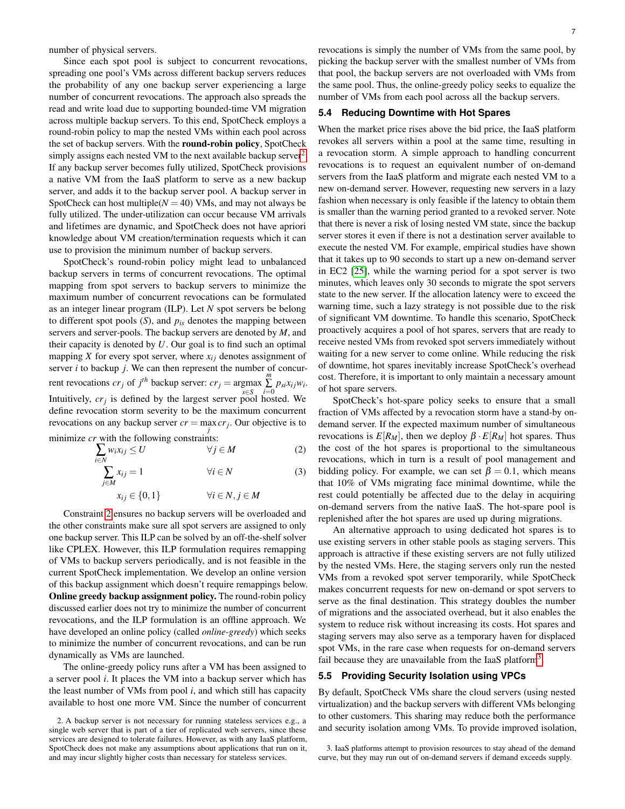number of physical servers.

Since each spot pool is subject to concurrent revocations, spreading one pool's VMs across different backup servers reduces the probability of any one backup server experiencing a large number of concurrent revocations. The approach also spreads the read and write load due to supporting bounded-time VM migration across multiple backup servers. To this end, SpotCheck employs a round-robin policy to map the nested VMs within each pool across the set of backup servers. With the round-robin policy, SpotCheck simply assigns each nested VM to the next available backup server<sup>[2](#page-6-0)</sup>. If any backup server becomes fully utilized, SpotCheck provisions a native VM from the IaaS platform to serve as a new backup server, and adds it to the backup server pool. A backup server in SpotCheck can host multiple( $N = 40$ ) VMs, and may not always be fully utilized. The under-utilization can occur because VM arrivals and lifetimes are dynamic, and SpotCheck does not have apriori knowledge about VM creation/termination requests which it can use to provision the minimum number of backup servers.

SpotCheck's round-robin policy might lead to unbalanced backup servers in terms of concurrent revocations. The optimal mapping from spot servers to backup servers to minimize the maximum number of concurrent revocations can be formulated as an integer linear program (ILP). Let *N* spot servers be belong to different spot pools  $(S)$ , and  $p_{is}$  denotes the mapping between servers and server-pools. The backup servers are denoted by *M*, and their capacity is denoted by *U*. Our goal is to find such an optimal mapping *X* for every spot server, where  $x_{ij}$  denotes assignment of server *i* to backup *j*. We can then represent the number of concurrent revocations *cr<sub>j</sub>* of *j*<sup>th</sup> backup server:  $cr_j = \underset{s \in S}{\operatorname{argmax}}$  $\sum_{i=0}^{m} p_{si}x_{ij}w_i$ . Intuitively, *cr<sup>j</sup>* is defined by the largest server pool hosted. We define revocation storm severity to be the maximum concurrent revocations on any backup server  $cr = \max cr_j$ . Our objective is to minimize  $cr$  with the following constraints:

∑ *i*∈*N*  $w_i x_{ij} \leq U$   $\forall j \in M$  (2)

∑ *j*∈*M*  $x_{ij} = 1$   $\forall i \in N$  (3)

 $x_{ij} \in \{0, 1\}$   $\forall i \in N, j \in M$ 

Constraint [2](#page-6-1) ensures no backup servers will be overloaded and the other constraints make sure all spot servers are assigned to only one backup server. This ILP can be solved by an off-the-shelf solver like CPLEX. However, this ILP formulation requires remapping of VMs to backup servers periodically, and is not feasible in the current SpotCheck implementation. We develop an online version of this backup assignment which doesn't require remappings below. Online greedy backup assignment policy. The round-robin policy discussed earlier does not try to minimize the number of concurrent revocations, and the ILP formulation is an offline approach. We have developed an online policy (called *online-greedy*) which seeks to minimize the number of concurrent revocations, and can be run dynamically as VMs are launched.

The online-greedy policy runs after a VM has been assigned to a server pool *i*. It places the VM into a backup server which has the least number of VMs from pool *i*, and which still has capacity available to host one more VM. Since the number of concurrent

revocations is simply the number of VMs from the same pool, by picking the backup server with the smallest number of VMs from that pool, the backup servers are not overloaded with VMs from the same pool. Thus, the online-greedy policy seeks to equalize the number of VMs from each pool across all the backup servers.

#### **5.4 Reducing Downtime with Hot Spares**

When the market price rises above the bid price, the IaaS platform revokes all servers within a pool at the same time, resulting in a revocation storm. A simple approach to handling concurrent revocations is to request an equivalent number of on-demand servers from the IaaS platform and migrate each nested VM to a new on-demand server. However, requesting new servers in a lazy fashion when necessary is only feasible if the latency to obtain them is smaller than the warning period granted to a revoked server. Note that there is never a risk of losing nested VM state, since the backup server stores it even if there is not a destination server available to execute the nested VM. For example, empirical studies have shown that it takes up to 90 seconds to start up a new on-demand server in EC2 [\[25\]](#page-13-13), while the warning period for a spot server is two minutes, which leaves only 30 seconds to migrate the spot servers state to the new server. If the allocation latency were to exceed the warning time, such a lazy strategy is not possible due to the risk of significant VM downtime. To handle this scenario, SpotCheck proactively acquires a pool of hot spares, servers that are ready to receive nested VMs from revoked spot servers immediately without waiting for a new server to come online. While reducing the risk of downtime, hot spares inevitably increase SpotCheck's overhead cost. Therefore, it is important to only maintain a necessary amount of hot spare servers.

<span id="page-6-1"></span>SpotCheck's hot-spare policy seeks to ensure that a small fraction of VMs affected by a revocation storm have a stand-by ondemand server. If the expected maximum number of simultaneous revocations is  $E[R_M]$ , then we deploy  $β \cdot E[R_M]$  hot spares. Thus the cost of the hot spares is proportional to the simultaneous revocations, which in turn is a result of pool management and bidding policy. For example, we can set  $\beta = 0.1$ , which means that 10% of VMs migrating face minimal downtime, while the rest could potentially be affected due to the delay in acquiring on-demand servers from the native IaaS. The hot-spare pool is replenished after the hot spares are used up during migrations.

An alternative approach to using dedicated hot spares is to use existing servers in other stable pools as staging servers. This approach is attractive if these existing servers are not fully utilized by the nested VMs. Here, the staging servers only run the nested VMs from a revoked spot server temporarily, while SpotCheck makes concurrent requests for new on-demand or spot servers to serve as the final destination. This strategy doubles the number of migrations and the associated overhead, but it also enables the system to reduce risk without increasing its costs. Hot spares and staging servers may also serve as a temporary haven for displaced spot VMs, in the rare case when requests for on-demand servers fail because they are unavailable from the IaaS platform<sup>[3](#page-6-2)</sup>.

#### **5.5 Providing Security Isolation using VPCs**

By default, SpotCheck VMs share the cloud servers (using nested virtualization) and the backup servers with different VMs belonging to other customers. This sharing may reduce both the performance and security isolation among VMs. To provide improved isolation,

<span id="page-6-0"></span><sup>2.</sup> A backup server is not necessary for running stateless services e.g., a single web server that is part of a tier of replicated web servers, since these services are designed to tolerate failures. However, as with any IaaS platform, SpotCheck does not make any assumptions about applications that run on it, and may incur slightly higher costs than necessary for stateless services.

<span id="page-6-2"></span><sup>3.</sup> IaaS platforms attempt to provision resources to stay ahead of the demand curve, but they may run out of on-demand servers if demand exceeds supply.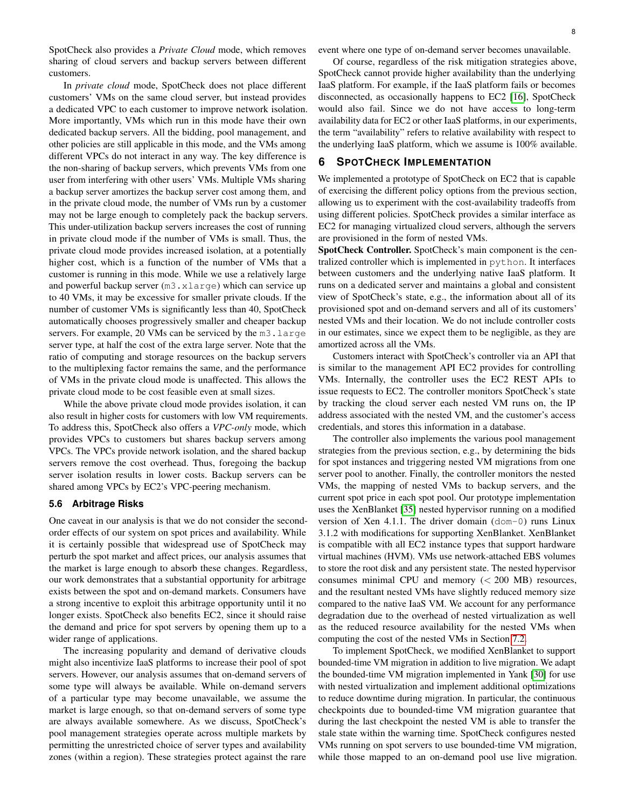SpotCheck also provides a *Private Cloud* mode, which removes sharing of cloud servers and backup servers between different customers.

In *private cloud* mode, SpotCheck does not place different customers' VMs on the same cloud server, but instead provides a dedicated VPC to each customer to improve network isolation. More importantly, VMs which run in this mode have their own dedicated backup servers. All the bidding, pool management, and other policies are still applicable in this mode, and the VMs among different VPCs do not interact in any way. The key difference is the non-sharing of backup servers, which prevents VMs from one user from interfering with other users' VMs. Multiple VMs sharing a backup server amortizes the backup server cost among them, and in the private cloud mode, the number of VMs run by a customer may not be large enough to completely pack the backup servers. This under-utilization backup servers increases the cost of running in private cloud mode if the number of VMs is small. Thus, the private cloud mode provides increased isolation, at a potentially higher cost, which is a function of the number of VMs that a customer is running in this mode. While we use a relatively large and powerful backup server (m3.xlarge) which can service up to 40 VMs, it may be excessive for smaller private clouds. If the number of customer VMs is significantly less than 40, SpotCheck automatically chooses progressively smaller and cheaper backup servers. For example, 20 VMs can be serviced by the m3.large server type, at half the cost of the extra large server. Note that the ratio of computing and storage resources on the backup servers to the multiplexing factor remains the same, and the performance of VMs in the private cloud mode is unaffected. This allows the private cloud mode to be cost feasible even at small sizes.

While the above private cloud mode provides isolation, it can also result in higher costs for customers with low VM requirements. To address this, SpotCheck also offers a *VPC-only* mode, which provides VPCs to customers but shares backup servers among VPCs. The VPCs provide network isolation, and the shared backup servers remove the cost overhead. Thus, foregoing the backup server isolation results in lower costs. Backup servers can be shared among VPCs by EC2's VPC-peering mechanism.

#### **5.6 Arbitrage Risks**

One caveat in our analysis is that we do not consider the secondorder effects of our system on spot prices and availability. While it is certainly possible that widespread use of SpotCheck may perturb the spot market and affect prices, our analysis assumes that the market is large enough to absorb these changes. Regardless, our work demonstrates that a substantial opportunity for arbitrage exists between the spot and on-demand markets. Consumers have a strong incentive to exploit this arbitrage opportunity until it no longer exists. SpotCheck also benefits EC2, since it should raise the demand and price for spot servers by opening them up to a wider range of applications.

The increasing popularity and demand of derivative clouds might also incentivize IaaS platforms to increase their pool of spot servers. However, our analysis assumes that on-demand servers of some type will always be available. While on-demand servers of a particular type may become unavailable, we assume the market is large enough, so that on-demand servers of some type are always available somewhere. As we discuss, SpotCheck's pool management strategies operate across multiple markets by permitting the unrestricted choice of server types and availability zones (within a region). These strategies protect against the rare

event where one type of on-demand server becomes unavailable.

Of course, regardless of the risk mitigation strategies above, SpotCheck cannot provide higher availability than the underlying IaaS platform. For example, if the IaaS platform fails or becomes disconnected, as occasionally happens to EC2 [\[16\]](#page-13-15), SpotCheck would also fail. Since we do not have access to long-term availability data for EC2 or other IaaS platforms, in our experiments, the term "availability" refers to relative availability with respect to the underlying IaaS platform, which we assume is 100% available.

## <span id="page-7-0"></span>**6 SPOTCHECK IMPLEMENTATION**

We implemented a prototype of SpotCheck on EC2 that is capable of exercising the different policy options from the previous section, allowing us to experiment with the cost-availability tradeoffs from using different policies. SpotCheck provides a similar interface as EC2 for managing virtualized cloud servers, although the servers are provisioned in the form of nested VMs.

SpotCheck Controller. SpotCheck's main component is the centralized controller which is implemented in python. It interfaces between customers and the underlying native IaaS platform. It runs on a dedicated server and maintains a global and consistent view of SpotCheck's state, e.g., the information about all of its provisioned spot and on-demand servers and all of its customers' nested VMs and their location. We do not include controller costs in our estimates, since we expect them to be negligible, as they are amortized across all the VMs.

Customers interact with SpotCheck's controller via an API that is similar to the management API EC2 provides for controlling VMs. Internally, the controller uses the EC2 REST APIs to issue requests to EC2. The controller monitors SpotCheck's state by tracking the cloud server each nested VM runs on, the IP address associated with the nested VM, and the customer's access credentials, and stores this information in a database.

The controller also implements the various pool management strategies from the previous section, e.g., by determining the bids for spot instances and triggering nested VM migrations from one server pool to another. Finally, the controller monitors the nested VMs, the mapping of nested VMs to backup servers, and the current spot price in each spot pool. Our prototype implementation uses the XenBlanket [\[35\]](#page-13-4) nested hypervisor running on a modified version of Xen 4.1.1. The driver domain (dom-0) runs Linux 3.1.2 with modifications for supporting XenBlanket. XenBlanket is compatible with all EC2 instance types that support hardware virtual machines (HVM). VMs use network-attached EBS volumes to store the root disk and any persistent state. The nested hypervisor consumes minimal CPU and memory  $( $200$  MB) resources,$ and the resultant nested VMs have slightly reduced memory size compared to the native IaaS VM. We account for any performance degradation due to the overhead of nested virtualization as well as the reduced resource availability for the nested VMs when computing the cost of the nested VMs in Section [7.2.](#page-10-0)

To implement SpotCheck, we modified XenBlanket to support bounded-time VM migration in addition to live migration. We adapt the bounded-time VM migration implemented in Yank [\[30\]](#page-13-6) for use with nested virtualization and implement additional optimizations to reduce downtime during migration. In particular, the continuous checkpoints due to bounded-time VM migration guarantee that during the last checkpoint the nested VM is able to transfer the stale state within the warning time. SpotCheck configures nested VMs running on spot servers to use bounded-time VM migration, while those mapped to an on-demand pool use live migration.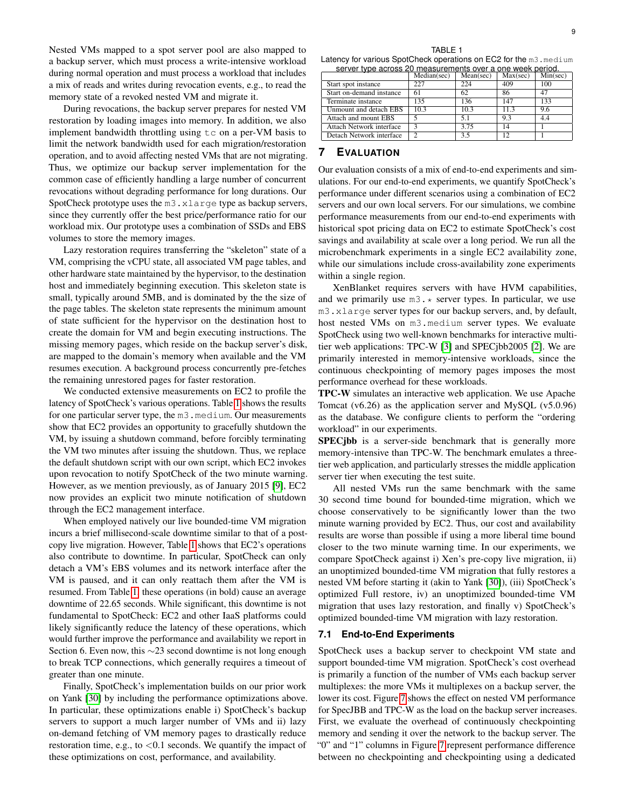Nested VMs mapped to a spot server pool are also mapped to a backup server, which must process a write-intensive workload during normal operation and must process a workload that includes a mix of reads and writes during revocation events, e.g., to read the memory state of a revoked nested VM and migrate it.

During revocations, the backup server prepares for nested VM restoration by loading images into memory. In addition, we also implement bandwidth throttling using  $tc$  on a per-VM basis to limit the network bandwidth used for each migration/restoration operation, and to avoid affecting nested VMs that are not migrating. Thus, we optimize our backup server implementation for the common case of efficiently handling a large number of concurrent revocations without degrading performance for long durations. Our SpotCheck prototype uses the m3.xlarge type as backup servers, since they currently offer the best price/performance ratio for our workload mix. Our prototype uses a combination of SSDs and EBS volumes to store the memory images.

Lazy restoration requires transferring the "skeleton" state of a VM, comprising the vCPU state, all associated VM page tables, and other hardware state maintained by the hypervisor, to the destination host and immediately beginning execution. This skeleton state is small, typically around 5MB, and is dominated by the the size of the page tables. The skeleton state represents the minimum amount of state sufficient for the hypervisor on the destination host to create the domain for VM and begin executing instructions. The missing memory pages, which reside on the backup server's disk, are mapped to the domain's memory when available and the VM resumes execution. A background process concurrently pre-fetches the remaining unrestored pages for faster restoration.

We conducted extensive measurements on EC2 to profile the latency of SpotCheck's various operations. Table [1](#page-8-1) shows the results for one particular server type, the m3.medium. Our measurements show that EC2 provides an opportunity to gracefully shutdown the VM, by issuing a shutdown command, before forcibly terminating the VM two minutes after issuing the shutdown. Thus, we replace the default shutdown script with our own script, which EC2 invokes upon revocation to notify SpotCheck of the two minute warning. However, as we mention previously, as of January 2015 [\[9\]](#page-13-5), EC2 now provides an explicit two minute notification of shutdown through the EC2 management interface.

When employed natively our live bounded-time VM migration incurs a brief millisecond-scale downtime similar to that of a postcopy live migration. However, Table [1](#page-8-1) shows that EC2's operations also contribute to downtime. In particular, SpotCheck can only detach a VM's EBS volumes and its network interface after the VM is paused, and it can only reattach them after the VM is resumed. From Table [1,](#page-8-1) these operations (in bold) cause an average downtime of 22.65 seconds. While significant, this downtime is not fundamental to SpotCheck: EC2 and other IaaS platforms could likely significantly reduce the latency of these operations, which would further improve the performance and availability we report in Section 6. Even now, this ∼23 second downtime is not long enough to break TCP connections, which generally requires a timeout of greater than one minute.

Finally, SpotCheck's implementation builds on our prior work on Yank [\[30\]](#page-13-6) by including the performance optimizations above. In particular, these optimizations enable i) SpotCheck's backup servers to support a much larger number of VMs and ii) lazy on-demand fetching of VM memory pages to drastically reduce restoration time, e.g., to  $< 0.1$  seconds. We quantify the impact of these optimizations on cost, performance, and availability.

TABLE 1

<span id="page-8-1"></span>Latency for various SpotCheck operations on EC2 for the m3.medium server type across 20 measurements over a one week period.

| ----------------         | $\overline{\text{Median}}(\text{sec})$ | Mean(sec) | Max(sec) | Min(sec) |
|--------------------------|----------------------------------------|-----------|----------|----------|
| Start spot instance      | 227                                    | 224       | 409      | 100      |
| Start on-demand instance | 61                                     | 62        | 86       | 47       |
| Terminate instance       | 135                                    | 136       | 147      | 133      |
| Unmount and detach EBS   | 10.3                                   | 10.3      | 11.3     | 9.6      |
| Attach and mount EBS     |                                        | 5.1       | 9.3      | 4.4      |
| Attach Network interface | 3                                      | 3.75      | 14       |          |
| Detach Network interface | $\overline{c}$                         | 3.5       | 12.      |          |

#### <span id="page-8-0"></span>**7 EVALUATION**

Our evaluation consists of a mix of end-to-end experiments and simulations. For our end-to-end experiments, we quantify SpotCheck's performance under different scenarios using a combination of EC2 servers and our own local servers. For our simulations, we combine performance measurements from our end-to-end experiments with historical spot pricing data on EC2 to estimate SpotCheck's cost savings and availability at scale over a long period. We run all the microbenchmark experiments in a single EC2 availability zone, while our simulations include cross-availability zone experiments within a single region.

XenBlanket requires servers with have HVM capabilities, and we primarily use  $m3.*$  server types. In particular, we use m3.xlarge server types for our backup servers, and, by default, host nested VMs on m3.medium server types. We evaluate SpotCheck using two well-known benchmarks for interactive multitier web applications: TPC-W [\[3\]](#page-12-2) and SPECjbb2005 [\[2\]](#page-12-3). We are primarily interested in memory-intensive workloads, since the continuous checkpointing of memory pages imposes the most performance overhead for these workloads.

TPC-W simulates an interactive web application. We use Apache Tomcat (v6.26) as the application server and MySQL (v5.0.96) as the database. We configure clients to perform the "ordering workload" in our experiments.

SPECjbb is a server-side benchmark that is generally more memory-intensive than TPC-W. The benchmark emulates a threetier web application, and particularly stresses the middle application server tier when executing the test suite.

All nested VMs run the same benchmark with the same 30 second time bound for bounded-time migration, which we choose conservatively to be significantly lower than the two minute warning provided by EC2. Thus, our cost and availability results are worse than possible if using a more liberal time bound closer to the two minute warning time. In our experiments, we compare SpotCheck against i) Xen's pre-copy live migration, ii) an unoptimized bounded-time VM migration that fully restores a nested VM before starting it (akin to Yank [\[30\]](#page-13-6)), (iii) SpotCheck's optimized Full restore, iv) an unoptimized bounded-time VM migration that uses lazy restoration, and finally v) SpotCheck's optimized bounded-time VM migration with lazy restoration.

#### **7.1 End-to-End Experiments**

SpotCheck uses a backup server to checkpoint VM state and support bounded-time VM migration. SpotCheck's cost overhead is primarily a function of the number of VMs each backup server multiplexes: the more VMs it multiplexes on a backup server, the lower its cost. Figure [7](#page-9-0) shows the effect on nested VM performance for SpecJBB and TPC-W as the load on the backup server increases. First, we evaluate the overhead of continuously checkpointing memory and sending it over the network to the backup server. The "0" and "1" columns in Figure [7](#page-9-0) represent performance difference between no checkpointing and checkpointing using a dedicated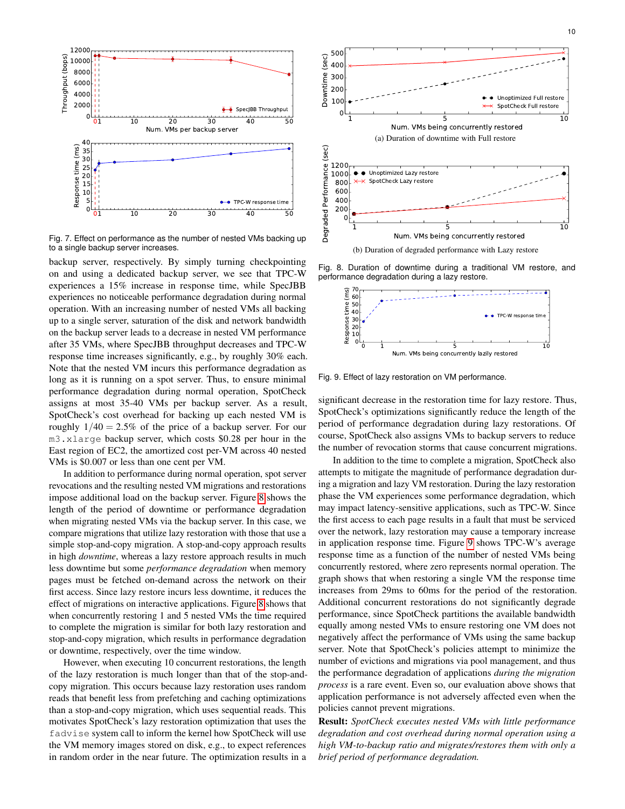

<span id="page-9-0"></span>Fig. 7. Effect on performance as the number of nested VMs backing up to a single backup server increases.

backup server, respectively. By simply turning checkpointing on and using a dedicated backup server, we see that TPC-W experiences a 15% increase in response time, while SpecJBB experiences no noticeable performance degradation during normal operation. With an increasing number of nested VMs all backing up to a single server, saturation of the disk and network bandwidth on the backup server leads to a decrease in nested VM performance after 35 VMs, where SpecJBB throughput decreases and TPC-W response time increases significantly, e.g., by roughly 30% each. Note that the nested VM incurs this performance degradation as long as it is running on a spot server. Thus, to ensure minimal performance degradation during normal operation, SpotCheck assigns at most 35-40 VMs per backup server. As a result, SpotCheck's cost overhead for backing up each nested VM is roughly  $1/40 = 2.5\%$  of the price of a backup server. For our m3.xlarge backup server, which costs \$0.28 per hour in the East region of EC2, the amortized cost per-VM across 40 nested VMs is \$0.007 or less than one cent per VM.

In addition to performance during normal operation, spot server revocations and the resulting nested VM migrations and restorations impose additional load on the backup server. Figure [8](#page-9-1) shows the length of the period of downtime or performance degradation when migrating nested VMs via the backup server. In this case, we compare migrations that utilize lazy restoration with those that use a simple stop-and-copy migration. A stop-and-copy approach results in high *downtime*, whereas a lazy restore approach results in much less downtime but some *performance degradation* when memory pages must be fetched on-demand across the network on their first access. Since lazy restore incurs less downtime, it reduces the effect of migrations on interactive applications. Figure [8](#page-9-1) shows that when concurrently restoring 1 and 5 nested VMs the time required to complete the migration is similar for both lazy restoration and stop-and-copy migration, which results in performance degradation or downtime, respectively, over the time window.

However, when executing 10 concurrent restorations, the length of the lazy restoration is much longer than that of the stop-andcopy migration. This occurs because lazy restoration uses random reads that benefit less from prefetching and caching optimizations than a stop-and-copy migration, which uses sequential reads. This motivates SpotCheck's lazy restoration optimization that uses the fadvise system call to inform the kernel how SpotCheck will use the VM memory images stored on disk, e.g., to expect references in random order in the near future. The optimization results in a



Fig. 8. Duration of downtime during a traditional VM restore, and performance degradation during a lazy restore.

<span id="page-9-1"></span>

<span id="page-9-2"></span>Fig. 9. Effect of lazy restoration on VM performance.

significant decrease in the restoration time for lazy restore. Thus, SpotCheck's optimizations significantly reduce the length of the period of performance degradation during lazy restorations. Of course, SpotCheck also assigns VMs to backup servers to reduce the number of revocation storms that cause concurrent migrations.

In addition to the time to complete a migration, SpotCheck also attempts to mitigate the magnitude of performance degradation during a migration and lazy VM restoration. During the lazy restoration phase the VM experiences some performance degradation, which may impact latency-sensitive applications, such as TPC-W. Since the first access to each page results in a fault that must be serviced over the network, lazy restoration may cause a temporary increase in application response time. Figure [9](#page-9-2) shows TPC-W's average response time as a function of the number of nested VMs being concurrently restored, where zero represents normal operation. The graph shows that when restoring a single VM the response time increases from 29ms to 60ms for the period of the restoration. Additional concurrent restorations do not significantly degrade performance, since SpotCheck partitions the available bandwidth equally among nested VMs to ensure restoring one VM does not negatively affect the performance of VMs using the same backup server. Note that SpotCheck's policies attempt to minimize the number of evictions and migrations via pool management, and thus the performance degradation of applications *during the migration process* is a rare event. Even so, our evaluation above shows that application performance is not adversely affected even when the policies cannot prevent migrations.

Result: *SpotCheck executes nested VMs with little performance degradation and cost overhead during normal operation using a high VM-to-backup ratio and migrates/restores them with only a brief period of performance degradation.*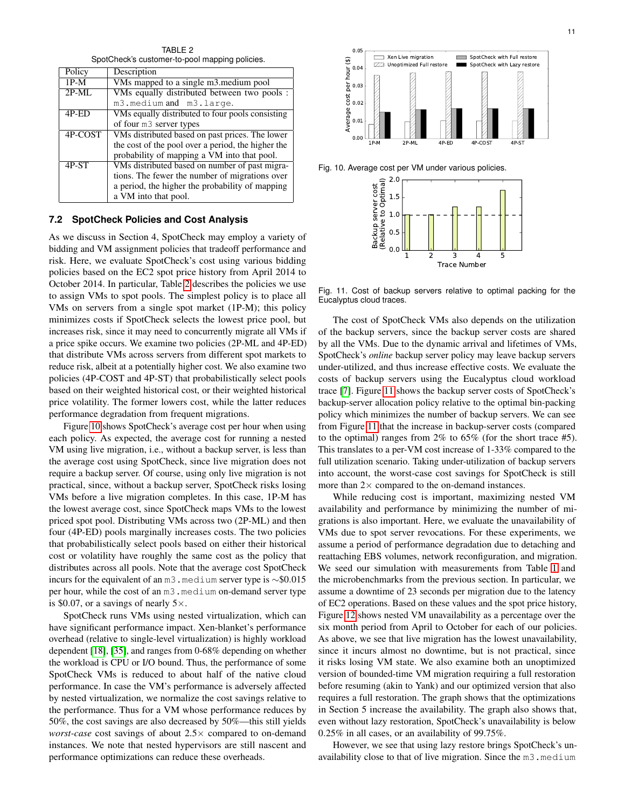TABLE<sub>2</sub> SpotCheck's customer-to-pool mapping policies.

<span id="page-10-1"></span>

| Policy  | Description                                        |  |  |
|---------|----------------------------------------------------|--|--|
| $1P-M$  | VMs mapped to a single m3.medium pool              |  |  |
| $2P-ML$ | VMs equally distributed between two pools :        |  |  |
|         | m3. medium and m3. large.                          |  |  |
| 4P-ED   | VMs equally distributed to four pools consisting   |  |  |
|         | of four m3 server types                            |  |  |
| 4P-COST | VMs distributed based on past prices. The lower    |  |  |
|         | the cost of the pool over a period, the higher the |  |  |
|         | probability of mapping a VM into that pool.        |  |  |
| $4P-ST$ | VMs distributed based on number of past migra-     |  |  |
|         | tions. The fewer the number of migrations over     |  |  |
|         | a period, the higher the probability of mapping    |  |  |
|         | a VM into that pool.                               |  |  |

## <span id="page-10-0"></span>**7.2 SpotCheck Policies and Cost Analysis**

As we discuss in Section 4, SpotCheck may employ a variety of bidding and VM assignment policies that tradeoff performance and risk. Here, we evaluate SpotCheck's cost using various bidding policies based on the EC2 spot price history from April 2014 to October 2014. In particular, Table [2](#page-10-1) describes the policies we use to assign VMs to spot pools. The simplest policy is to place all VMs on servers from a single spot market (1P-M); this policy minimizes costs if SpotCheck selects the lowest price pool, but increases risk, since it may need to concurrently migrate all VMs if a price spike occurs. We examine two policies (2P-ML and 4P-ED) that distribute VMs across servers from different spot markets to reduce risk, albeit at a potentially higher cost. We also examine two policies (4P-COST and 4P-ST) that probabilistically select pools based on their weighted historical cost, or their weighted historical price volatility. The former lowers cost, while the latter reduces performance degradation from frequent migrations.

Figure [10](#page-10-2) shows SpotCheck's average cost per hour when using each policy. As expected, the average cost for running a nested VM using live migration, i.e., without a backup server, is less than the average cost using SpotCheck, since live migration does not require a backup server. Of course, using only live migration is not practical, since, without a backup server, SpotCheck risks losing VMs before a live migration completes. In this case, 1P-M has the lowest average cost, since SpotCheck maps VMs to the lowest priced spot pool. Distributing VMs across two (2P-ML) and then four (4P-ED) pools marginally increases costs. The two policies that probabilistically select pools based on either their historical cost or volatility have roughly the same cost as the policy that distributes across all pools. Note that the average cost SpotCheck incurs for the equivalent of an m3.medium server type is ∼\$0.015 per hour, while the cost of an m3.medium on-demand server type is \$0.07, or a savings of nearly  $5 \times$ .

SpotCheck runs VMs using nested virtualization, which can have significant performance impact. Xen-blanket's performance overhead (relative to single-level virtualization) is highly workload dependent [\[18\]](#page-13-16), [\[35\]](#page-13-4), and ranges from 0-68% depending on whether the workload is CPU or I/O bound. Thus, the performance of some SpotCheck VMs is reduced to about half of the native cloud performance. In case the VM's performance is adversely affected by nested virtualization, we normalize the cost savings relative to the performance. Thus for a VM whose performance reduces by 50%, the cost savings are also decreased by 50%—this still yields *worst-case* cost savings of about 2.5× compared to on-demand instances. We note that nested hypervisors are still nascent and performance optimizations can reduce these overheads.



Fig. 10. Average cost per VM under various policies.

<span id="page-10-2"></span>

<span id="page-10-3"></span>Fig. 11. Cost of backup servers relative to optimal packing for the Eucalyptus cloud traces.

The cost of SpotCheck VMs also depends on the utilization of the backup servers, since the backup server costs are shared by all the VMs. Due to the dynamic arrival and lifetimes of VMs, SpotCheck's *online* backup server policy may leave backup servers under-utilized, and thus increase effective costs. We evaluate the costs of backup servers using the Eucalyptus cloud workload trace [\[7\]](#page-13-17). Figure [11](#page-10-3) shows the backup server costs of SpotCheck's backup-server allocation policy relative to the optimal bin-packing policy which minimizes the number of backup servers. We can see from Figure [11](#page-10-3) that the increase in backup-server costs (compared to the optimal) ranges from 2% to 65% (for the short trace #5). This translates to a per-VM cost increase of 1-33% compared to the full utilization scenario. Taking under-utilization of backup servers into account, the worst-case cost savings for SpotCheck is still more than  $2 \times$  compared to the on-demand instances.

While reducing cost is important, maximizing nested VM availability and performance by minimizing the number of migrations is also important. Here, we evaluate the unavailability of VMs due to spot server revocations. For these experiments, we assume a period of performance degradation due to detaching and reattaching EBS volumes, network reconfiguration, and migration. We seed our simulation with measurements from Table [1](#page-8-1) and the microbenchmarks from the previous section. In particular, we assume a downtime of 23 seconds per migration due to the latency of EC2 operations. Based on these values and the spot price history, Figure [12](#page-11-0) shows nested VM unavailability as a percentage over the six month period from April to October for each of our policies. As above, we see that live migration has the lowest unavailability, since it incurs almost no downtime, but is not practical, since it risks losing VM state. We also examine both an unoptimized version of bounded-time VM migration requiring a full restoration before resuming (akin to Yank) and our optimized version that also requires a full restoration. The graph shows that the optimizations in Section 5 increase the availability. The graph also shows that, even without lazy restoration, SpotCheck's unavailability is below 0.25% in all cases, or an availability of 99.75%.

However, we see that using lazy restore brings SpotCheck's unavailability close to that of live migration. Since the m3.medium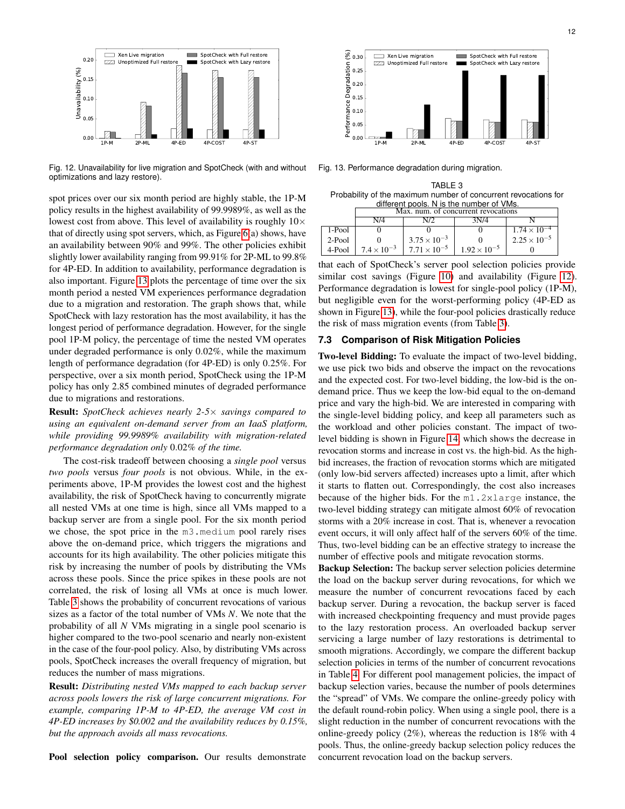

<span id="page-11-0"></span>Fig. 12. Unavailability for live migration and SpotCheck (with and without optimizations and lazy restore).

spot prices over our six month period are highly stable, the 1P-M policy results in the highest availability of 99.9989%, as well as the lowest cost from above. This level of availability is roughly  $10\times$ that of directly using spot servers, which, as Figure [6\(](#page-5-1)a) shows, have an availability between 90% and 99%. The other policies exhibit slightly lower availability ranging from 99.91% for 2P-ML to 99.8% for 4P-ED. In addition to availability, performance degradation is also important. Figure [13](#page-11-1) plots the percentage of time over the six month period a nested VM experiences performance degradation due to a migration and restoration. The graph shows that, while SpotCheck with lazy restoration has the most availability, it has the longest period of performance degradation. However, for the single pool 1P-M policy, the percentage of time the nested VM operates under degraded performance is only 0.02%, while the maximum length of performance degradation (for 4P-ED) is only 0.25%. For perspective, over a six month period, SpotCheck using the 1P-M policy has only 2.85 combined minutes of degraded performance due to migrations and restorations.

# Result: *SpotCheck achieves nearly 2-5*× *savings compared to using an equivalent on-demand server from an IaaS platform, while providing 99.9989% availability with migration-related performance degradation only* 0.02*% of the time.*

The cost-risk tradeoff between choosing a *single pool* versus *two pools* versus *four pools* is not obvious. While, in the experiments above, 1P-M provides the lowest cost and the highest availability, the risk of SpotCheck having to concurrently migrate all nested VMs at one time is high, since all VMs mapped to a backup server are from a single pool. For the six month period we chose, the spot price in the m3.medium pool rarely rises above the on-demand price, which triggers the migrations and accounts for its high availability. The other policies mitigate this risk by increasing the number of pools by distributing the VMs across these pools. Since the price spikes in these pools are not correlated, the risk of losing all VMs at once is much lower. Table [3](#page-11-2) shows the probability of concurrent revocations of various sizes as a factor of the total number of VMs *N*. We note that the probability of all *N* VMs migrating in a single pool scenario is higher compared to the two-pool scenario and nearly non-existent in the case of the four-pool policy. Also, by distributing VMs across pools, SpotCheck increases the overall frequency of migration, but reduces the number of mass migrations.

Result: *Distributing nested VMs mapped to each backup server across pools lowers the risk of large concurrent migrations. For example, comparing 1P-M to 4P-ED, the average VM cost in 4P-ED increases by \$0.002 and the availability reduces by 0.15%, but the approach avoids all mass revocations.*

Pool selection policy comparison. Our results demonstrate

Fig. 13. Performance degradation during migration.

<span id="page-11-2"></span><span id="page-11-1"></span>TABLE 3 Probability of the maximum number of concurrent revocations for different pools. N is the number of VMs. Max. num. of concurrent revocations

|          | мал. паш. от сопсантент гетосанонз |                       |                       |                       |  |
|----------|------------------------------------|-----------------------|-----------------------|-----------------------|--|
|          | N/4                                | N12                   | 3N/4                  |                       |  |
| 1-Pool   |                                    |                       |                       | $1.74 \times 10^{-4}$ |  |
| $2-Pool$ |                                    | $3.75 \times 10^{-3}$ |                       | $2.25 \times 10^{-5}$ |  |
| 4-Pool   | $7.4 \times 10^{-3}$               | $7.71 \times 10^{-5}$ | $1.92 \times 10^{-5}$ |                       |  |
|          |                                    |                       |                       |                       |  |

that each of SpotCheck's server pool selection policies provide similar cost savings (Figure [10\)](#page-10-2) and availability (Figure [12\)](#page-11-0). Performance degradation is lowest for single-pool policy (1P-M), but negligible even for the worst-performing policy (4P-ED as shown in Figure [13\)](#page-11-1), while the four-pool policies drastically reduce the risk of mass migration events (from Table [3\)](#page-11-2).

# **7.3 Comparison of Risk Mitigation Policies**

Two-level Bidding: To evaluate the impact of two-level bidding, we use pick two bids and observe the impact on the revocations and the expected cost. For two-level bidding, the low-bid is the ondemand price. Thus we keep the low-bid equal to the on-demand price and vary the high-bid. We are interested in comparing with the single-level bidding policy, and keep all parameters such as the workload and other policies constant. The impact of twolevel bidding is shown in Figure [14,](#page-12-4) which shows the decrease in revocation storms and increase in cost vs. the high-bid. As the highbid increases, the fraction of revocation storms which are mitigated (only low-bid servers affected) increases upto a limit, after which it starts to flatten out. Correspondingly, the cost also increases because of the higher bids. For the m1.2xlarge instance, the two-level bidding strategy can mitigate almost 60% of revocation storms with a 20% increase in cost. That is, whenever a revocation event occurs, it will only affect half of the servers 60% of the time. Thus, two-level bidding can be an effective strategy to increase the number of effective pools and mitigate revocation storms.

Backup Selection: The backup server selection policies determine the load on the backup server during revocations, for which we measure the number of concurrent revocations faced by each backup server. During a revocation, the backup server is faced with increased checkpointing frequency and must provide pages to the lazy restoration process. An overloaded backup server servicing a large number of lazy restorations is detrimental to smooth migrations. Accordingly, we compare the different backup selection policies in terms of the number of concurrent revocations in Table [4.](#page-12-5) For different pool management policies, the impact of backup selection varies, because the number of pools determines the "spread" of VMs. We compare the online-greedy policy with the default round-robin policy. When using a single pool, there is a slight reduction in the number of concurrent revocations with the online-greedy policy (2%), whereas the reduction is 18% with 4 pools. Thus, the online-greedy backup selection policy reduces the concurrent revocation load on the backup servers.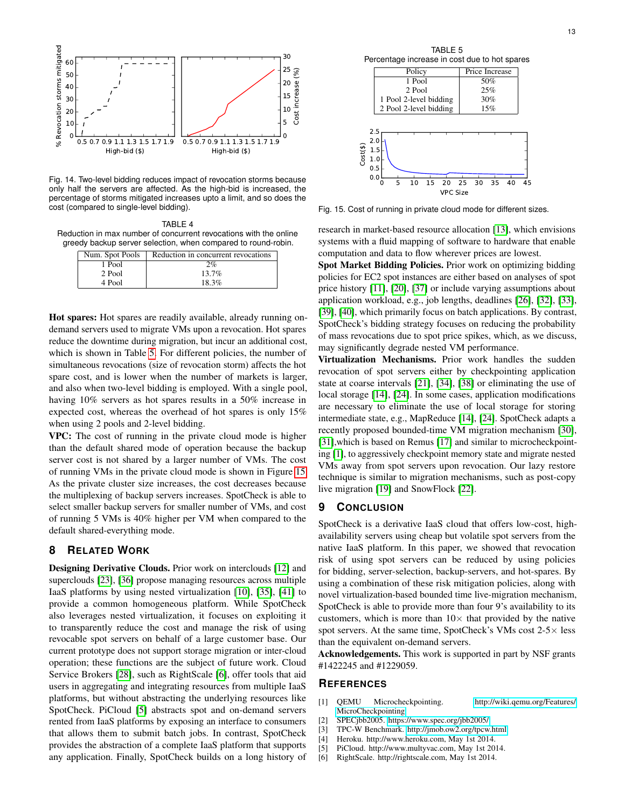

<span id="page-12-4"></span>Fig. 14. Two-level bidding reduces impact of revocation storms because only half the servers are affected. As the high-bid is increased, the percentage of storms mitigated increases upto a limit, and so does the cost (compared to single-level bidding).

<span id="page-12-5"></span>TABLE 4 Reduction in max number of concurrent revocations with the online greedy backup server selection, when compared to round-robin.

| Num. Spot Pools | Reduction in concurrent revocations |
|-----------------|-------------------------------------|
| 1 Pool          | 2%                                  |
| 2 Pool          | 13.7%                               |
| 4 Pool          | 18.3%                               |

Hot spares: Hot spares are readily available, already running ondemand servers used to migrate VMs upon a revocation. Hot spares reduce the downtime during migration, but incur an additional cost, which is shown in Table [5.](#page-12-6) For different policies, the number of simultaneous revocations (size of revocation storm) affects the hot spare cost, and is lower when the number of markets is larger, and also when two-level bidding is employed. With a single pool, having 10% servers as hot spares results in a 50% increase in expected cost, whereas the overhead of hot spares is only 15% when using 2 pools and 2-level bidding.

VPC: The cost of running in the private cloud mode is higher than the default shared mode of operation because the backup server cost is not shared by a larger number of VMs. The cost of running VMs in the private cloud mode is shown in Figure [15.](#page-12-7) As the private cluster size increases, the cost decreases because the multiplexing of backup servers increases. SpotCheck is able to select smaller backup servers for smaller number of VMs, and cost of running 5 VMs is 40% higher per VM when compared to the default shared-everything mode.

# **8 RELATED WORK**

Designing Derivative Clouds. Prior work on interclouds [\[12\]](#page-13-18) and superclouds [\[23\]](#page-13-19), [\[36\]](#page-13-20) propose managing resources across multiple IaaS platforms by using nested virtualization [\[10\]](#page-13-3), [\[35\]](#page-13-4), [\[41\]](#page-13-21) to provide a common homogeneous platform. While SpotCheck also leverages nested virtualization, it focuses on exploiting it to transparently reduce the cost and manage the risk of using revocable spot servers on behalf of a large customer base. Our current prototype does not support storage migration or inter-cloud operation; these functions are the subject of future work. Cloud Service Brokers [\[28\]](#page-13-22), such as RightScale [\[6\]](#page-12-8), offer tools that aid users in aggregating and integrating resources from multiple IaaS platforms, but without abstracting the underlying resources like SpotCheck. PiCloud [\[5\]](#page-12-0) abstracts spot and on-demand servers rented from IaaS platforms by exposing an interface to consumers that allows them to submit batch jobs. In contrast, SpotCheck provides the abstraction of a complete IaaS platform that supports any application. Finally, SpotCheck builds on a long history of

TABLE 5 Percentage increase in cost due to hot spares

<span id="page-12-6"></span>

<span id="page-12-7"></span>Fig. 15. Cost of running in private cloud mode for different sizes.

research in market-based resource allocation [\[13\]](#page-13-23), which envisions systems with a fluid mapping of software to hardware that enable computation and data to flow wherever prices are lowest.

Spot Market Bidding Policies. Prior work on optimizing bidding policies for EC2 spot instances are either based on analyses of spot price history [\[11\]](#page-13-11), [\[20\]](#page-13-2), [\[37\]](#page-13-12) or include varying assumptions about application workload, e.g., job lengths, deadlines [\[26\]](#page-13-24), [\[32\]](#page-13-25), [\[33\]](#page-13-26), [\[39\]](#page-13-27), [\[40\]](#page-13-28), which primarily focus on batch applications. By contrast, SpotCheck's bidding strategy focuses on reducing the probability of mass revocations due to spot price spikes, which, as we discuss, may significantly degrade nested VM performance.

Virtualization Mechanisms. Prior work handles the sudden revocation of spot servers either by checkpointing application state at coarse intervals [\[21\]](#page-13-29), [\[34\]](#page-13-30), [\[38\]](#page-13-31) or eliminating the use of local storage [\[14\]](#page-13-32), [\[24\]](#page-13-33). In some cases, application modifications are necessary to eliminate the use of local storage for storing intermediate state, e.g., MapReduce [\[14\]](#page-13-32), [\[24\]](#page-13-33). SpotCheck adapts a recently proposed bounded-time VM migration mechanism [\[30\]](#page-13-6), [\[31\]](#page-13-7),which is based on Remus [\[17\]](#page-13-34) and similar to microcheckpointing [\[1\]](#page-12-9), to aggressively checkpoint memory state and migrate nested VMs away from spot servers upon revocation. Our lazy restore technique is similar to migration mechanisms, such as post-copy live migration [\[19\]](#page-13-8) and SnowFlock [\[22\]](#page-13-9).

## **9 CONCLUSION**

SpotCheck is a derivative IaaS cloud that offers low-cost, highavailability servers using cheap but volatile spot servers from the native IaaS platform. In this paper, we showed that revocation risk of using spot servers can be reduced by using policies for bidding, server-selection, backup-servers, and hot-spares. By using a combination of these risk mitigation policies, along with novel virtualization-based bounded time live-migration mechanism, SpotCheck is able to provide more than four 9's availability to its customers, which is more than  $10\times$  that provided by the native spot servers. At the same time, SpotCheck's VMs cost  $2-5\times$  less than the equivalent on-demand servers.

Acknowledgements. This work is supported in part by NSF grants #1422245 and #1229059.

## **REFERENCES**

- <span id="page-12-9"></span>[1] QEMU Microcheckpointing. [http://wiki.qemu.org/Features/](http://wiki.qemu.org/Features/MicroCheckpointing) [MicroCheckpointing.](http://wiki.qemu.org/Features/MicroCheckpointing)
- <span id="page-12-3"></span>[2] SPECjbb2005. [https://www.spec.org/jbb2005/.](https://www.spec.org/jbb2005/)
- <span id="page-12-2"></span>[3] TPC-W Benchmark. [http://jmob.ow2.org/tpcw.html.](http://jmob.ow2.org/tpcw.html)
- <span id="page-12-1"></span>[4] Heroku. http://www.heroku.com, May 1st 2014.
- <span id="page-12-0"></span>[5] PiCloud. http://www.multyvac.com, May 1st 2014.
- <span id="page-12-8"></span>[6] RightScale. http://rightscale.com, May 1st 2014.